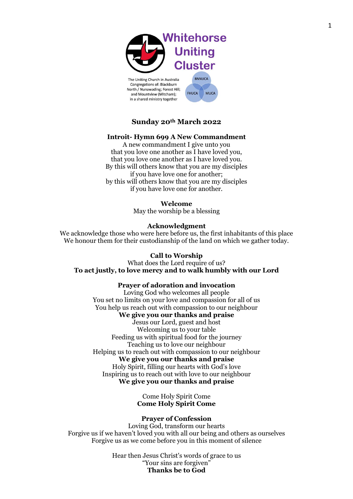

North / Nunawading; Forest Hill; and Mountview (Mitcham); in a shared ministry together

# **FHUCA MUCA**

# **Sunday 20th March 2022**

## **Introit- Hymn 699 A New Commandment**

A new commandment I give unto you that you love one another as I have loved you, that you love one another as I have loved you. By this will others know that you are my disciples if you have love one for another; by this will others know that you are my disciples if you have love one for another.

## **Welcome**

May the worship be a blessing

## **Acknowledgment**

We acknowledge those who were here before us, the first inhabitants of this place We honour them for their custodianship of the land on which we gather today.

## **Call to Worship**

What does the Lord require of us? **To act justly, to love mercy and to walk humbly with our Lord**

## **Prayer of adoration and invocation**

Loving God who welcomes all people You set no limits on your love and compassion for all of us You help us reach out with compassion to our neighbour **We give you our thanks and praise** Jesus our Lord, guest and host Welcoming us to your table Feeding us with spiritual food for the journey Teaching us to love our neighbour Helping us to reach out with compassion to our neighbour **We give you our thanks and praise** Holy Spirit, filling our hearts with God's love Inspiring us to reach out with love to our neighbour **We give you our thanks and praise** 

> Come Holy Spirit Come **Come Holy Spirit Come**

## **Prayer of Confession**

Loving God, transform our hearts Forgive us if we haven't loved you with all our being and others as ourselves Forgive us as we come before you in this moment of silence

> Hear then Jesus Christ's words of grace to us "Your sins are forgiven" **Thanks be to God**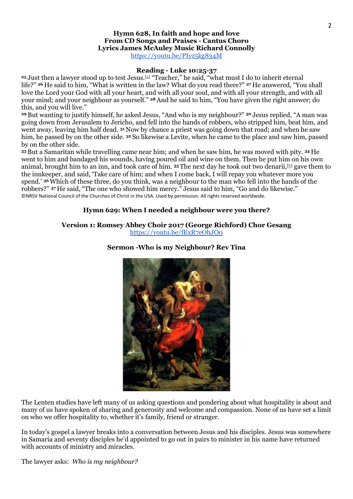#### **Hymn 628, In faith and hope and love From CD Songs and Praises - Cantus Choro Lyrics James McAuley Music Richard Connolly**  <https://youtu.be/PIyz5kg834M>

# **Reading - Luke 10:25-37**

**<sup>25</sup>** Just then a lawyer stood up to test Jesus.[\[a\]](https://www.biblegateway.com/passage/?search=Luke+10%3A25-37&version=NRSV#fen-NRSV-25381a) "Teacher," he said, "what must I do to inherit eternal life?" **<sup>26</sup>** He said to him, "What is written in the law? What do you read there?" **<sup>27</sup>** He answered, "You shall love the Lord your God with all your heart, and with all your soul, and with all your strength, and with all your mind; and your neighbour as yourself." **<sup>28</sup>** And he said to him, "You have given the right answer; do this, and you will live."

**<sup>29</sup>** But wanting to justify himself, he asked Jesus, "And who is my neighbour?" **<sup>30</sup>** Jesus replied, "A man was going down from Jerusalem to Jericho, and fell into the hands of robbers, who stripped him, beat him, and went away, leaving him half dead. **<sup>31</sup>** Now by chance a priest was going down that road; and when he saw him, he passed by on the other side. **<sup>32</sup>** So likewise a Levite, when he came to the place and saw him, passed by on the other side.

**<sup>33</sup>**But a Samaritan while travelling came near him; and when he saw him, he was moved with pity. **<sup>34</sup>** He went to him and bandaged his wounds, having poured oil and wine on them. Then he put him on his own animal, brought him to an inn, and took care of him. 35 The next day he took out two denarii,<sup>[\[b\]](https://www.biblegateway.com/passage/?search=Luke+10%3A25-37&version=NRSV#fen-NRSV-25391b)</sup> gave them to the innkeeper, and said, 'Take care of him; and when I come back, I will repay you whatever more you spend.' **<sup>36</sup>**Which of these three, do you think, was a neighbour to the man who fell into the hands of the robbers?" **<sup>37</sup>** He said, "The one who showed him mercy." Jesus said to him, "Go and do likewise." ©NRSV National Council of the Churches of Christ in the USA. Used by permission. All rights reserved worldwide.

## **Hymn 629: When I needed a neighbour were you there?**

**Version 1: Romsey Abbey Choir 2017 (George Richford) Chor Gesang** <https://youtu.be/fExR7eOhJO0>



**Sermon -Who is my Neighbour? Rev Tina**

The Lenten studies have left many of us asking questions and pondering about what hospitality is about and many of us have spoken of sharing and generosity and welcome and compassion. None of us have set a limit on who we offer hospitality to, whether it's family, friend or stranger.

In today's gospel a lawyer breaks into a conversation between Jesus and his disciples. Jesus was somewhere in Samaria and seventy disciples he'd appointed to go out in pairs to minister in his name have returned with accounts of ministry and miracles.

The lawyer asks: *Who is my neighbour?*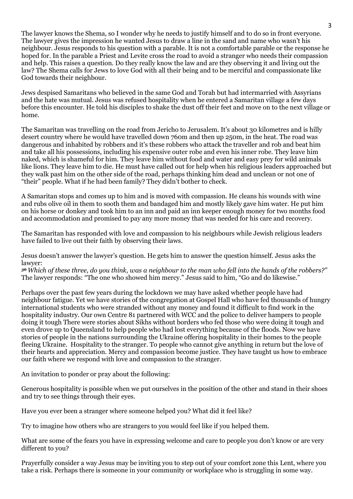The lawyer knows the Shema, so I wonder why he needs to justify himself and to do so in front everyone. The lawyer gives the impression he wanted Jesus to draw a line in the sand and name who wasn't his neighbour. Jesus responds to his question with a parable. It is not a comfortable parable or the response he hoped for. In the parable a Priest and Levite cross the road to avoid a stranger who needs their compassion and help. This raises a question. Do they really know the law and are they observing it and living out the law? The Shema calls for Jews to love God with all their being and to be merciful and compassionate like God towards their neighbour.

Jews despised Samaritans who believed in the same God and Torah but had intermarried with Assyrians and the hate was mutual. Jesus was refused hospitality when he entered a Samaritan village a few days before this encounter. He told his disciples to shake the dust off their feet and move on to the next village or home.

The Samaritan was travelling on the road from Jericho to Jerusalem. It's about 30 kilometres and is hilly desert country where he would have travelled down 760m and then up 250m, in the heat. The road was dangerous and inhabited by robbers and it's these robbers who attack the traveller and rob and beat him and take all his possessions, including his expensive outer robe and even his inner robe. They leave him naked, which is shameful for him. They leave him without food and water and easy prey for wild animals like lions. They leave him to die. He must have called out for help when his religious leaders approached but they walk past him on the other side of the road, perhaps thinking him dead and unclean or not one of "their" people. What if he had been family? They didn't bother to check.

A Samaritan stops and comes up to him and is moved with compassion. He cleans his wounds with wine and rubs olive oil in them to sooth them and bandaged him and mostly likely gave him water. He put him on his horse or donkey and took him to an inn and paid an inn keeper enough money for two months food and accommodation and promised to pay any more money that was needed for his care and recovery.

The Samaritan has responded with love and compassion to his neighbours while Jewish religious leaders have failed to live out their faith by observing their laws.

Jesus doesn't answer the lawyer's question. He gets him to answer the question himself. Jesus asks the lawyer:

*<sup>36</sup> Which of these three, do you think, was a neighbour to the man who fell into the hands of the robbers?"* The lawyer responds: "The one who showed him mercy." Jesus said to him, "Go and do likewise."

Perhaps over the past few years during the lockdown we may have asked whether people have had neighbour fatigue. Yet we have stories of the congregation at Gospel Hall who have fed thousands of hungry international students who were stranded without any money and found it difficult to find work in the hospitality industry. Our own Centre 81 partnered with WCC and the police to deliver hampers to people doing it tough There were stories about Sikhs without borders who fed those who were doing it tough and even drove up to Queensland to help people who had lost everything because of the floods. Now we have stories of people in the nations surrounding the Ukraine offering hospitality in their homes to the people fleeing Ukraine. Hospitality to the stranger. To people who cannot give anything in return but the love of their hearts and appreciation. Mercy and compassion become justice. They have taught us how to embrace our faith where we respond with love and compassion to the stranger.

An invitation to ponder or pray about the following:

Generous hospitality is possible when we put ourselves in the position of the other and stand in their shoes and try to see things through their eyes.

Have you ever been a stranger where someone helped you? What did it feel like?

Try to imagine how others who are strangers to you would feel like if you helped them.

What are some of the fears you have in expressing welcome and care to people you don't know or are very different to you?

Prayerfully consider a way Jesus may be inviting you to step out of your comfort zone this Lent, where you take a risk. Perhaps there is someone in your community or workplace who is struggling in some way.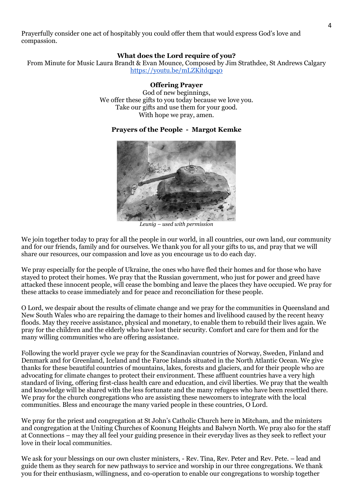Prayerfully consider one act of hospitably you could offer them that would express God's love and compassion.

## **What does the Lord require of you?**

From Minute for Music Laura Brandt & Evan Mounce, Composed by Jim Strathdee, St Andrews Calgary <https://youtu.be/mLZKitdqpq0>

#### **Offering Prayer** God of new beginnings, We offer these gifts to you today because we love you. Take our gifts and use them for your good. With hope we pray, amen.

# **Prayers of the People - Margot Kemke**



*Leunig – used with permission* 

We join together today to pray for all the people in our world, in all countries, our own land, our community and for our friends, family and for ourselves. We thank you for all your gifts to us, and pray that we will share our resources, our compassion and love as you encourage us to do each day.

We pray especially for the people of Ukraine, the ones who have fled their homes and for those who have stayed to protect their homes. We pray that the Russian government, who just for power and greed have attacked these innocent people, will cease the bombing and leave the places they have occupied. We pray for these attacks to cease immediately and for peace and reconciliation for these people.

O Lord, we despair about the results of climate change and we pray for the communities in Queensland and New South Wales who are repairing the damage to their homes and livelihood caused by the recent heavy floods. May they receive assistance, physical and monetary, to enable them to rebuild their lives again. We pray for the children and the elderly who have lost their security. Comfort and care for them and for the many willing communities who are offering assistance.

Following the world prayer cycle we pray for the Scandinavian countries of Norway, Sweden, Finland and Denmark and for Greenland, Iceland and the Faroe Islands situated in the North Atlantic Ocean. We give thanks for these beautiful countries of mountains, lakes, forests and glaciers, and for their people who are advocating for climate changes to protect their environment. These affluent countries have a very high standard of living, offering first-class health care and education, and civil liberties. We pray that the wealth and knowledge will be shared with the less fortunate and the many refugees who have been resettled there. We pray for the church congregations who are assisting these newcomers to integrate with the local communities. Bless and encourage the many varied people in these countries, O Lord.

We pray for the priest and congregation at St John's Catholic Church here in Mitcham, and the ministers and congregation at the Uniting Churches of Koonung Heights and Balwyn North. We pray also for the staff at Connections – may they all feel your guiding presence in their everyday lives as they seek to reflect your love in their local communities.

We ask for your blessings on our own cluster ministers, - Rev. Tina, Rev. Peter and Rev. Pete. – lead and guide them as they search for new pathways to service and worship in our three congregations. We thank you for their enthusiasm, willingness, and co-operation to enable our congregations to worship together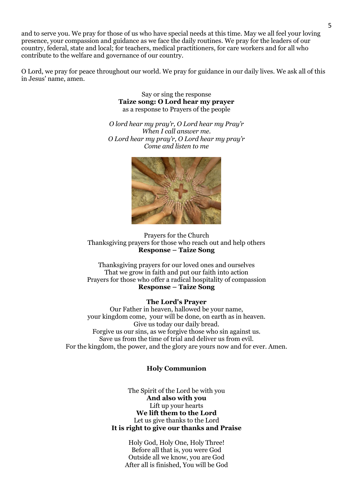and to serve you. We pray for those of us who have special needs at this time. May we all feel your loving presence, your compassion and guidance as we face the daily routines. We pray for the leaders of our country, federal, state and local; for teachers, medical practitioners, for care workers and for all who contribute to the welfare and governance of our country.

O Lord, we pray for peace throughout our world. We pray for guidance in our daily lives. We ask all of this in Jesus' name, amen.

> Say or sing the response **Taize song: O Lord hear my prayer**  as a response to Prayers of the people

*O lord hear my pray'r, O Lord hear my Pray'r When I call answer me. O Lord hear my pray'r, O Lord hear my pray'r Come and listen to me*



### Prayers for the Church Thanksgiving prayers for those who reach out and help others **Response – Taize Song**

Thanksgiving prayers for our loved ones and ourselves That we grow in faith and put our faith into action Prayers for those who offer a radical hospitality of compassion **Response – Taize Song**

## **The Lord's Prayer**

Our Father in heaven, hallowed be your name, your kingdom come, your will be done, on earth as in heaven. Give us today our daily bread. Forgive us our sins, as we forgive those who sin against us. Save us from the time of trial and deliver us from evil. For the kingdom, the power, and the glory are yours now and for ever. Amen.

## **Holy Communion**

The Spirit of the Lord be with you **And also with you** Lift up your hearts **We lift them to the Lord** Let us give thanks to the Lord **It is right to give our thanks and Praise**

> Holy God, Holy One, Holy Three! Before all that is, you were God Outside all we know, you are God After all is finished, You will be God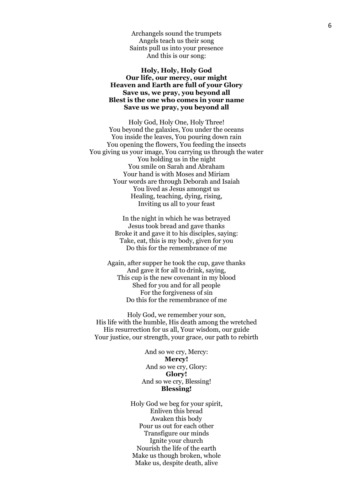Archangels sound the trumpets Angels teach us their song Saints pull us into your presence And this is our song:

#### **Holy, Holy, Holy God Our life, our mercy, our might Heaven and Earth are full of your Glory Save us, we pray, you beyond all Blest is the one who comes in your name Save us we pray, you beyond all**

Holy God, Holy One, Holy Three! You beyond the galaxies, You under the oceans You inside the leaves, You pouring down rain You opening the flowers, You feeding the insects You giving us your image, You carrying us through the water You holding us in the night You smile on Sarah and Abraham Your hand is with Moses and Miriam Your words are through Deborah and Isaiah You lived as Jesus amongst us Healing, teaching, dying, rising, Inviting us all to your feast

> In the night in which he was betrayed Jesus took bread and gave thanks Broke it and gave it to his disciples, saying: Take, eat, this is my body, given for you Do this for the remembrance of me

Again, after supper he took the cup, gave thanks And gave it for all to drink, saying, This cup is the new covenant in my blood Shed for you and for all people For the forgiveness of sin Do this for the remembrance of me

Holy God, we remember your son, His life with the humble, His death among the wretched His resurrection for us all, Your wisdom, our guide Your justice, our strength, your grace, our path to rebirth

> And so we cry, Mercy: **Mercy!** And so we cry, Glory: **Glory!** And so we cry, Blessing! **Blessing!**

Holy God we beg for your spirit, Enliven this bread Awaken this body Pour us out for each other Transfigure our minds Ignite your church Nourish the life of the earth Make us though broken, whole Make us, despite death, alive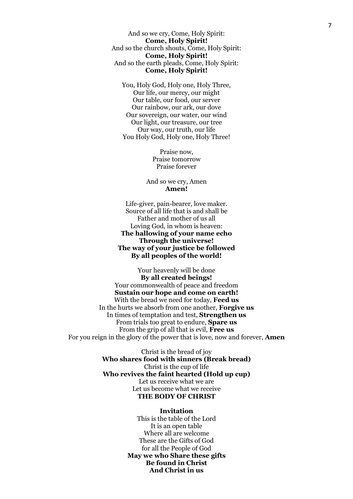And so we cry, Come, Holy Spirit: **Come, Holy Spirit!** And so the church shouts, Come, Holy Spirit: **Come, Holy Spirit!** And so the earth pleads, Come, Holy Spirit: **Come, Holy Spirit!**

You, Holy God, Holy one, Holy Three, Our life, our mercy, our might Our table, our food, our server Our rainbow, our ark, our dove Our sovereign, our water, our wind Our light, our treasure, our tree Our way, our truth, our life You Holy God, Holy one, Holy Three!

> Praise now, Praise tomorrow Praise forever

And so we cry, Amen **Amen!**

Life-giver, pain-bearer, love maker. Source of all life that is and shall be Father and mother of us all Loving God, in whom is heaven: **The hallowing of your name echo Through the universe! The way of your justice be followed By all peoples of the world!**

Your heavenly will be done **By all created beings!** Your commonwealth of peace and freedom **Sustain our hope and come on earth!** With the bread we need for today, **Feed us** In the hurts we absorb from one another, **Forgive us** In times of temptation and test, **Strengthen us** From trials too great to endure, **Spare us** From the grip of all that is evil, **Free us** For you reign in the glory of the power that is love, now and forever, **Amen**

> Christ is the bread of joy **Who shares food with sinners (Break bread)** Christ is the cup of life **Who revives the faint hearted (Hold up cup)** Let us receive what we are Let us become what we receive **THE BODY OF CHRIST**

> > **Invitation** This is the table of the Lord It is an open table Where all are welcome These are the Gifts of God for all the People of God **May we who Share these gifts Be found in Christ And Christ in us**